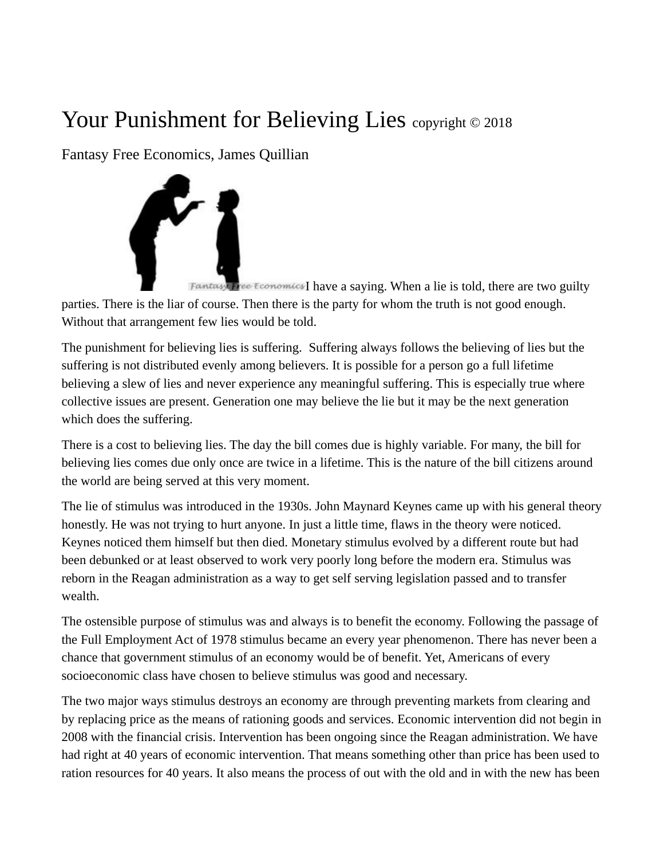## Your Punishment for Believing Lies copyright © 2018

Fantasy Free Economics, James Quillian



Fantasy Free Economics I have a saying. When a lie is told, there are two guilty parties. There is the liar of course. Then there is the party for whom the truth is not good enough. Without that arrangement few lies would be told.

The punishment for believing lies is suffering. Suffering always follows the believing of lies but the suffering is not distributed evenly among believers. It is possible for a person go a full lifetime believing a slew of lies and never experience any meaningful suffering. This is especially true where collective issues are present. Generation one may believe the lie but it may be the next generation which does the suffering.

There is a cost to believing lies. The day the bill comes due is highly variable. For many, the bill for believing lies comes due only once are twice in a lifetime. This is the nature of the bill citizens around the world are being served at this very moment.

The lie of stimulus was introduced in the 1930s. John Maynard Keynes came up with his general theory honestly. He was not trying to hurt anyone. In just a little time, flaws in the theory were noticed. Keynes noticed them himself but then died. Monetary stimulus evolved by a different route but had been debunked or at least observed to work very poorly long before the modern era. Stimulus was reborn in the Reagan administration as a way to get self serving legislation passed and to transfer wealth.

The ostensible purpose of stimulus was and always is to benefit the economy. Following the passage of the Full Employment Act of 1978 stimulus became an every year phenomenon. There has never been a chance that government stimulus of an economy would be of benefit. Yet, Americans of every socioeconomic class have chosen to believe stimulus was good and necessary.

The two major ways stimulus destroys an economy are through preventing markets from clearing and by replacing price as the means of rationing goods and services. Economic intervention did not begin in 2008 with the financial crisis. Intervention has been ongoing since the Reagan administration. We have had right at 40 years of economic intervention. That means something other than price has been used to ration resources for 40 years. It also means the process of out with the old and in with the new has been